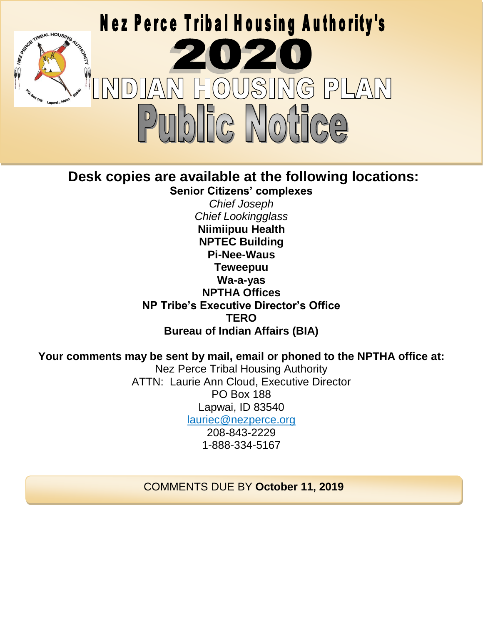

# **Desk copies are available at the following locations:**

**Senior Citizens' complexes** *Chief Joseph Chief Lookingglass* **Niimiipuu Health NPTEC Building Pi-Nee-Waus Teweepuu Wa-a-yas NPTHA Offices NP Tribe's Executive Director's Office TERO Bureau of Indian Affairs (BIA)**

# **Your comments may be sent by mail, email or phoned to the NPTHA office at:**

Nez Perce Tribal Housing Authority ATTN: Laurie Ann Cloud, Executive Director PO Box 188 Lapwai, ID 83540 [lauriec@nezperce.org](mailto:lauriec@nezperce.org) 208-843-2229 1-888-334-5167

COMMENTS DUE BY **October 11, 2019**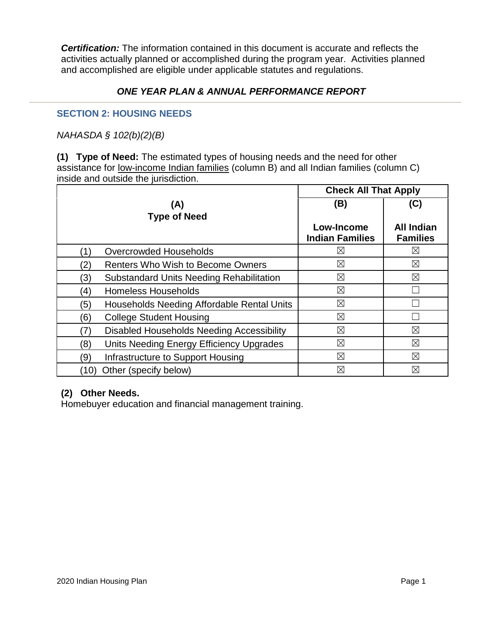*Certification:* The information contained in this document is accurate and reflects the activities actually planned or accomplished during the program year. Activities planned and accomplished are eligible under applicable statutes and regulations.

# *ONE YEAR PLAN & ANNUAL PERFORMANCE REPORT*

# **SECTION 2: HOUSING NEEDS**

*NAHASDA § 102(b)(2)(B)*

**(1) Type of Need:** The estimated types of housing needs and the need for other assistance for low-income Indian families (column B) and all Indian families (column C) inside and outside the jurisdiction.

|                                                        | <b>Check All That Apply</b> |                   |
|--------------------------------------------------------|-----------------------------|-------------------|
| (A)                                                    | (B)                         | (C)               |
| <b>Type of Need</b>                                    | Low-Income                  | <b>All Indian</b> |
|                                                        | <b>Indian Families</b>      | <b>Families</b>   |
| Overcrowded Households                                 | ⊠                           | ⊠                 |
| (2)<br><b>Renters Who Wish to Become Owners</b>        | $\boxtimes$                 | $\boxtimes$       |
| (3)<br><b>Substandard Units Needing Rehabilitation</b> | $\boxtimes$                 | $\boxtimes$       |
| <b>Homeless Households</b><br>(4)                      | $\boxtimes$                 |                   |
| (5)<br>Households Needing Affordable Rental Units      | ⊠                           |                   |
| (6)<br><b>College Student Housing</b>                  | ⊠                           |                   |
| <b>Disabled Households Needing Accessibility</b>       | $\boxtimes$                 | ⊠                 |
| Units Needing Energy Efficiency Upgrades<br>(8)        | ⊠                           | ⊠                 |
| (9)<br>Infrastructure to Support Housing               | ⊠                           | $\boxtimes$       |
| Other (specify below)<br>(10)                          | ⊠                           | ⊠                 |

# **(2) Other Needs.**

Homebuyer education and financial management training.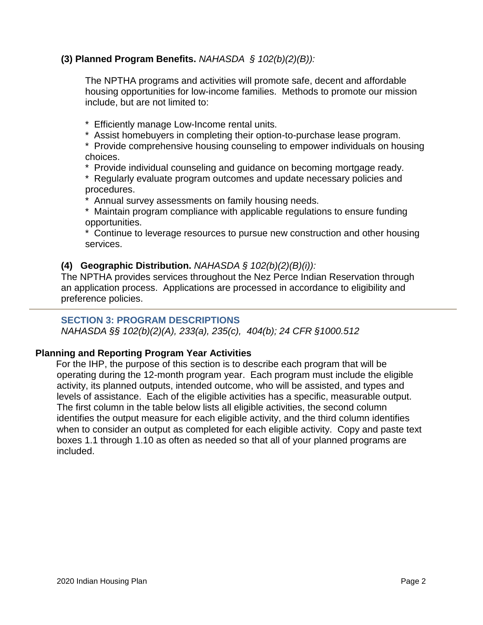# **(3) Planned Program Benefits.** *NAHASDA § 102(b)(2)(B)):*

The NPTHA programs and activities will promote safe, decent and affordable housing opportunities for low-income families. Methods to promote our mission include, but are not limited to:

- \* Efficiently manage Low-Income rental units.
- \* Assist homebuyers in completing their option-to-purchase lease program.

\* Provide comprehensive housing counseling to empower individuals on housing choices.

- \* Provide individual counseling and guidance on becoming mortgage ready.
- \* Regularly evaluate program outcomes and update necessary policies and procedures.

Annual survey assessments on family housing needs.

\* Maintain program compliance with applicable regulations to ensure funding opportunities.

\* Continue to leverage resources to pursue new construction and other housing services.

### **(4) Geographic Distribution.** *NAHASDA § 102(b)(2)(B)(i)):*

The NPTHA provides services throughout the Nez Perce Indian Reservation through an application process. Applications are processed in accordance to eligibility and preference policies.

# **SECTION 3: PROGRAM DESCRIPTIONS**

*NAHASDA §§ 102(b)(2)(A), 233(a), 235(c), 404(b); 24 CFR §1000.512*

#### **Planning and Reporting Program Year Activities**

For the IHP, the purpose of this section is to describe each program that will be operating during the 12-month program year. Each program must include the eligible activity, its planned outputs, intended outcome, who will be assisted, and types and levels of assistance. Each of the eligible activities has a specific, measurable output. The first column in the table below lists all eligible activities, the second column identifies the output measure for each eligible activity, and the third column identifies when to consider an output as completed for each eligible activity. Copy and paste text boxes 1.1 through 1.10 as often as needed so that all of your planned programs are included.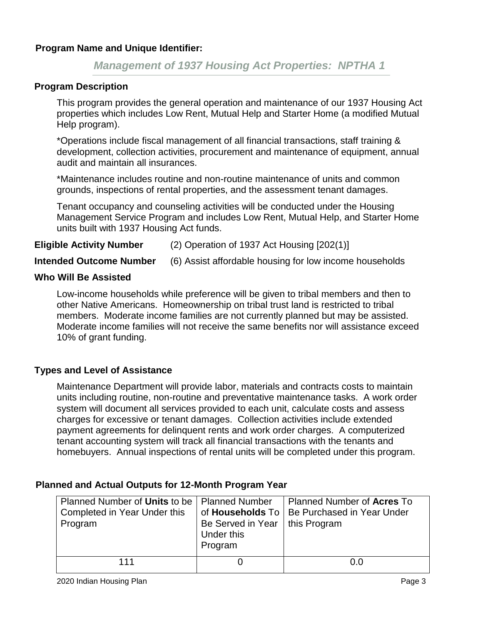# *Management of 1937 Housing Act Properties: NPTHA 1*

### **Program Description**

This program provides the general operation and maintenance of our 1937 Housing Act properties which includes Low Rent, Mutual Help and Starter Home (a modified Mutual Help program).

\*Operations include fiscal management of all financial transactions, staff training & development, collection activities, procurement and maintenance of equipment, annual audit and maintain all insurances.

\*Maintenance includes routine and non-routine maintenance of units and common grounds, inspections of rental properties, and the assessment tenant damages.

Tenant occupancy and counseling activities will be conducted under the Housing Management Service Program and includes Low Rent, Mutual Help, and Starter Home units built with 1937 Housing Act funds.

### **Eligible Activity Number** (2) Operation of 1937 Act Housing [202(1)]

**Intended Outcome Number** (6) Assist affordable housing for low income households

### **Who Will Be Assisted**

Low-income households while preference will be given to tribal members and then to other Native Americans. Homeownership on tribal trust land is restricted to tribal members. Moderate income families are not currently planned but may be assisted. Moderate income families will not receive the same benefits nor will assistance exceed 10% of grant funding.

# **Types and Level of Assistance**

Maintenance Department will provide labor, materials and contracts costs to maintain units including routine, non-routine and preventative maintenance tasks. A work order system will document all services provided to each unit, calculate costs and assess charges for excessive or tenant damages. Collection activities include extended payment agreements for delinquent rents and work order charges. A computerized tenant accounting system will track all financial transactions with the tenants and homebuyers. Annual inspections of rental units will be completed under this program.

| Planned Number of Units to be   Planned Number |                                                           | Planned Number of Acres To                    |
|------------------------------------------------|-----------------------------------------------------------|-----------------------------------------------|
| Completed in Year Under this                   |                                                           | of Households To   Be Purchased in Year Under |
| Program                                        | Be Served in Year   this Program<br>Under this<br>Program |                                               |
| 111                                            |                                                           | 0.0                                           |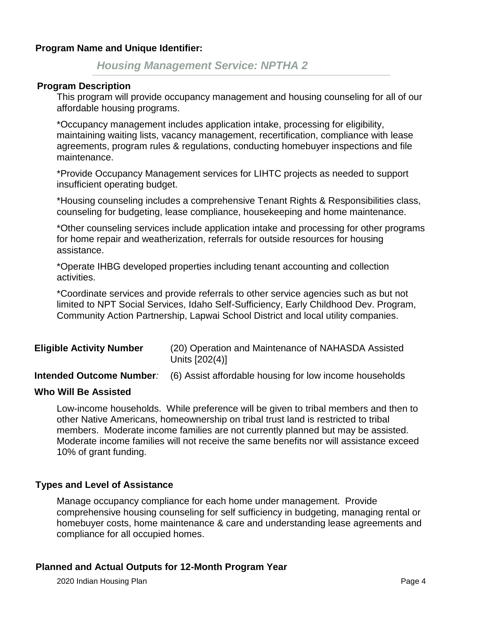*Housing Management Service: NPTHA 2*

#### **Program Description**

This program will provide occupancy management and housing counseling for all of our affordable housing programs.

\*Occupancy management includes application intake, processing for eligibility, maintaining waiting lists, vacancy management, recertification, compliance with lease agreements, program rules & regulations, conducting homebuyer inspections and file maintenance.

\*Provide Occupancy Management services for LIHTC projects as needed to support insufficient operating budget.

\*Housing counseling includes a comprehensive Tenant Rights & Responsibilities class, counseling for budgeting, lease compliance, housekeeping and home maintenance.

\*Other counseling services include application intake and processing for other programs for home repair and weatherization, referrals for outside resources for housing assistance.

\*Operate IHBG developed properties including tenant accounting and collection activities.

\*Coordinate services and provide referrals to other service agencies such as but not limited to NPT Social Services, Idaho Self-Sufficiency, Early Childhood Dev. Program, Community Action Partnership, Lapwai School District and local utility companies.

| <b>Eligible Activity Number</b> | (20) Operation and Maintenance of NAHASDA Assisted<br>Units [202(4)] |
|---------------------------------|----------------------------------------------------------------------|
| Intonded Outcome Number         | $\overline{R}$ Applet offerdeble beyong for lew income beyong helde  |

**Intended Outcome Number***:* (6) Assist affordable housing for low income households

#### **Who Will Be Assisted**

Low-income households. While preference will be given to tribal members and then to other Native Americans, homeownership on tribal trust land is restricted to tribal members. Moderate income families are not currently planned but may be assisted. Moderate income families will not receive the same benefits nor will assistance exceed 10% of grant funding.

#### **Types and Level of Assistance**

Manage occupancy compliance for each home under management. Provide comprehensive housing counseling for self sufficiency in budgeting, managing rental or homebuyer costs, home maintenance & care and understanding lease agreements and compliance for all occupied homes.

#### **Planned and Actual Outputs for 12-Month Program Year**

2020 Indian Housing Plan Page 4 and 2020 Indian Housing Plan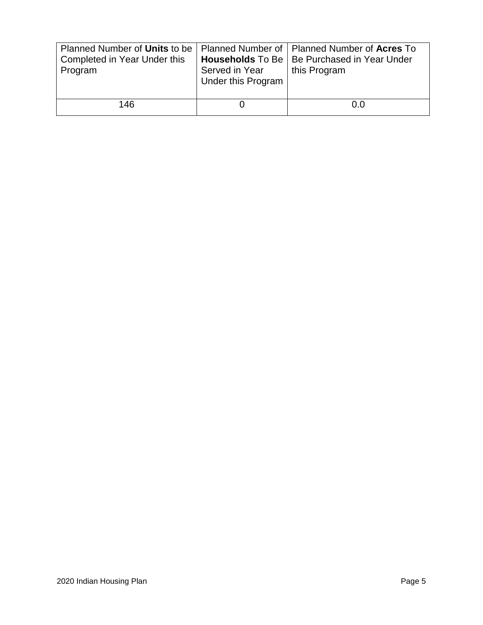| Planned Number of Units to be   Planned Number of   Planned Number of Acres To<br>Completed in Year Under this<br>Program | Served in Year<br>Under this Program | <b>Households</b> To Be   Be Purchased in Year Under<br>this Program |
|---------------------------------------------------------------------------------------------------------------------------|--------------------------------------|----------------------------------------------------------------------|
| 146                                                                                                                       |                                      | 0.0                                                                  |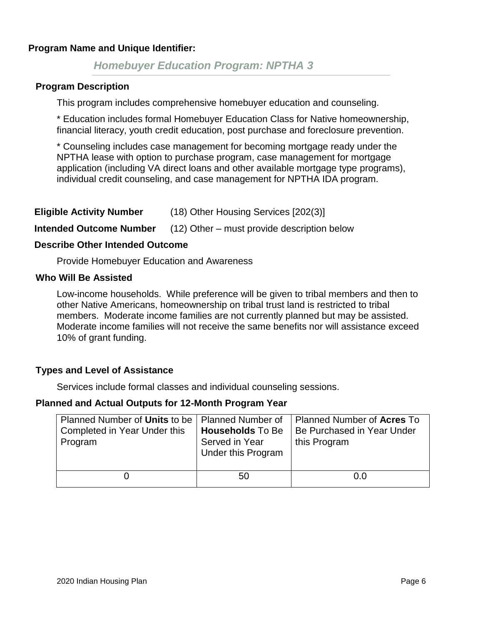# *Homebuyer Education Program: NPTHA 3*

#### **Program Description**

This program includes comprehensive homebuyer education and counseling.

\* Education includes formal Homebuyer Education Class for Native homeownership, financial literacy, youth credit education, post purchase and foreclosure prevention.

\* Counseling includes case management for becoming mortgage ready under the NPTHA lease with option to purchase program, case management for mortgage application (including VA direct loans and other available mortgage type programs), individual credit counseling, and case management for NPTHA IDA program.

| <b>Eligible Activity Number</b> | (18) Other Housing Services [202(3)] |
|---------------------------------|--------------------------------------|
|---------------------------------|--------------------------------------|

**Intended Outcome Number** (12) Other – must provide description below

#### **Describe Other Intended Outcome**

Provide Homebuyer Education and Awareness

#### **Who Will Be Assisted**

Low-income households. While preference will be given to tribal members and then to other Native Americans, homeownership on tribal trust land is restricted to tribal members. Moderate income families are not currently planned but may be assisted. Moderate income families will not receive the same benefits nor will assistance exceed 10% of grant funding.

#### **Types and Level of Assistance**

Services include formal classes and individual counseling sessions.

| Planned Number of Units to be   Planned Number of | <b>Households To Be</b> | Planned Number of <b>Acres</b> To |
|---------------------------------------------------|-------------------------|-----------------------------------|
| Completed in Year Under this                      | Served in Year          | Be Purchased in Year Under        |
| Program                                           | Under this Program      | this Program                      |
|                                                   | 50                      | 0.0                               |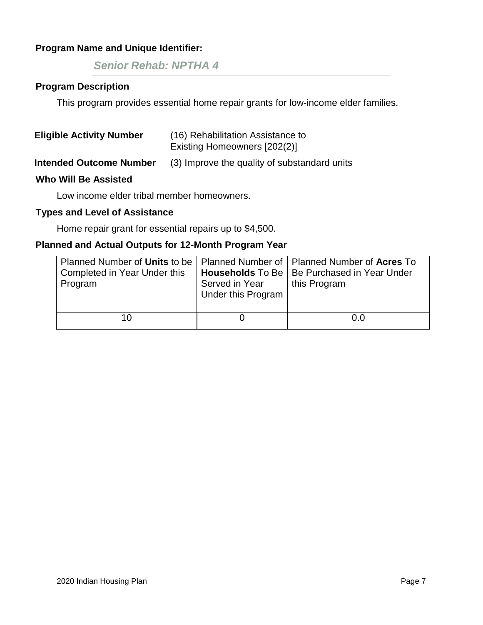*Senior Rehab: NPTHA 4*

# **Program Description**

This program provides essential home repair grants for low-income elder families.

| <b>Eligible Activity Number</b> | (16) Rehabilitation Assistance to<br>Existing Homeowners [202(2)] |
|---------------------------------|-------------------------------------------------------------------|
| <b>Intended Outcome Number</b>  | (3) Improve the quality of substandard units                      |
| <b>Who Will Be Assisted</b>     |                                                                   |

Low income elder tribal member homeowners.

### **Types and Level of Assistance**

Home repair grant for essential repairs up to \$4,500.

| Planned Number of Units to be   Planned Number of   Planned Number of Acres To |                    |                                               |
|--------------------------------------------------------------------------------|--------------------|-----------------------------------------------|
| Completed in Year Under this                                                   |                    | Households To Be   Be Purchased in Year Under |
| Program                                                                        | Served in Year     | this Program                                  |
|                                                                                | Under this Program |                                               |
|                                                                                |                    |                                               |
|                                                                                |                    | 0.0                                           |
|                                                                                |                    |                                               |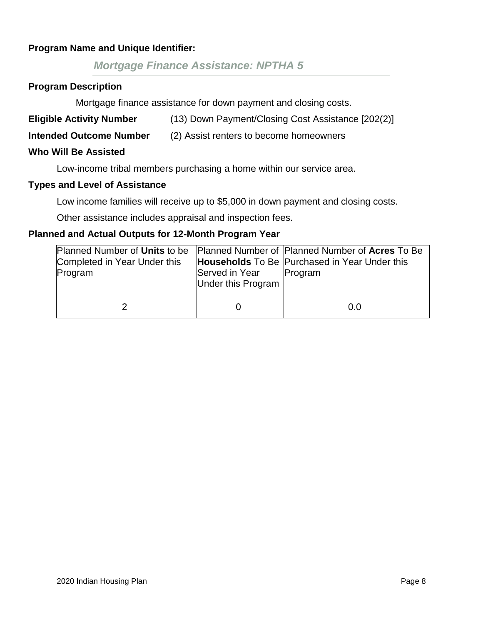# *Mortgage Finance Assistance: NPTHA 5*

#### **Program Description**

Mortgage finance assistance for down payment and closing costs.

**Eligible Activity Number** (13) Down Payment/Closing Cost Assistance [202(2)]

# **Intended Outcome Number** (2) Assist renters to become homeowners

#### **Who Will Be Assisted**

Low-income tribal members purchasing a home within our service area.

#### **Types and Level of Assistance**

Low income families will receive up to \$5,000 in down payment and closing costs.

Other assistance includes appraisal and inspection fees.

| Completed in Year Under this<br>Program | Served in Year<br>Under this Program | Planned Number of Units to be Planned Number of Planned Number of Acres To Be<br><b>Households</b> To Be Purchased in Year Under this<br>Program |
|-----------------------------------------|--------------------------------------|--------------------------------------------------------------------------------------------------------------------------------------------------|
|                                         |                                      | 0.0                                                                                                                                              |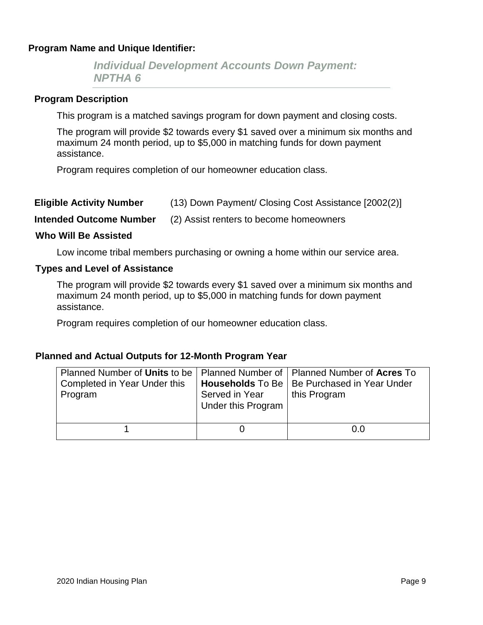*Individual Development Accounts Down Payment: NPTHA 6*

#### **Program Description**

This program is a matched savings program for down payment and closing costs.

The program will provide \$2 towards every \$1 saved over a minimum six months and maximum 24 month period, up to \$5,000 in matching funds for down payment assistance.

Program requires completion of our homeowner education class.

| (13) Down Payment/ Closing Cost Assistance [2002(2)]<br><b>Eligible Activity Number</b> |
|-----------------------------------------------------------------------------------------|
|-----------------------------------------------------------------------------------------|

**Intended Outcome Number** (2) Assist renters to become homeowners

#### **Who Will Be Assisted**

Low income tribal members purchasing or owning a home within our service area.

### **Types and Level of Assistance**

The program will provide \$2 towards every \$1 saved over a minimum six months and maximum 24 month period, up to \$5,000 in matching funds for down payment assistance.

Program requires completion of our homeowner education class.

| Planned Number of Units to be   Planned Number of   Planned Number of Acres To<br>Completed in Year Under this<br>Program | Served in Year<br>Under this Program | Households To Be   Be Purchased in Year Under<br>this Program |
|---------------------------------------------------------------------------------------------------------------------------|--------------------------------------|---------------------------------------------------------------|
|                                                                                                                           |                                      | 0.0                                                           |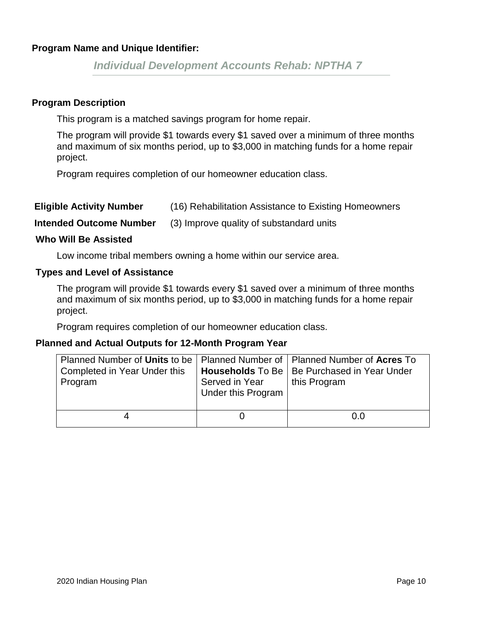*Individual Development Accounts Rehab: NPTHA 7*

### **Program Description**

This program is a matched savings program for home repair.

The program will provide \$1 towards every \$1 saved over a minimum of three months and maximum of six months period, up to \$3,000 in matching funds for a home repair project.

Program requires completion of our homeowner education class.

| <b>Eligible Activity Number</b> |  | (16) Rehabilitation Assistance to Existing Homeowners |
|---------------------------------|--|-------------------------------------------------------|
|---------------------------------|--|-------------------------------------------------------|

**Intended Outcome Number** (3) Improve quality of substandard units

### **Who Will Be Assisted**

Low income tribal members owning a home within our service area.

#### **Types and Level of Assistance**

The program will provide \$1 towards every \$1 saved over a minimum of three months and maximum of six months period, up to \$3,000 in matching funds for a home repair project.

Program requires completion of our homeowner education class.

| Planned Number of Units to be   Planned Number of   Planned Number of Acres To<br>Completed in Year Under this<br>Program | Served in Year<br>Under this Program | <b>Households</b> To Be   Be Purchased in Year Under<br>this Program |
|---------------------------------------------------------------------------------------------------------------------------|--------------------------------------|----------------------------------------------------------------------|
|                                                                                                                           |                                      | 0.0                                                                  |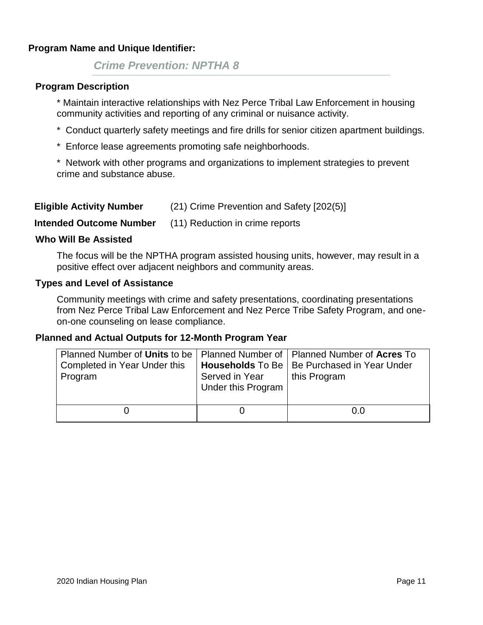# *Crime Prevention: NPTHA 8*

#### **Program Description**

\* Maintain interactive relationships with Nez Perce Tribal Law Enforcement in housing community activities and reporting of any criminal or nuisance activity.

- \* Conduct quarterly safety meetings and fire drills for senior citizen apartment buildings.
- \* Enforce lease agreements promoting safe neighborhoods.

\* Network with other programs and organizations to implement strategies to prevent crime and substance abuse.

| <b>Eligible Activity Number</b> | (21) Crime Prevention and Safety [202(5)] |
|---------------------------------|-------------------------------------------|
|---------------------------------|-------------------------------------------|

**Intended Outcome Number** (11) Reduction in crime reports

#### **Who Will Be Assisted**

The focus will be the NPTHA program assisted housing units, however, may result in a positive effect over adjacent neighbors and community areas.

#### **Types and Level of Assistance**

Community meetings with crime and safety presentations, coordinating presentations from Nez Perce Tribal Law Enforcement and Nez Perce Tribe Safety Program, and oneon-one counseling on lease compliance.

| Planned Number of Units to be   Planned Number of   Planned Number of Acres To<br>Completed in Year Under this<br>Program | Served in Year<br>Under this Program | Households To Be   Be Purchased in Year Under<br>this Program |
|---------------------------------------------------------------------------------------------------------------------------|--------------------------------------|---------------------------------------------------------------|
|                                                                                                                           |                                      | O.O                                                           |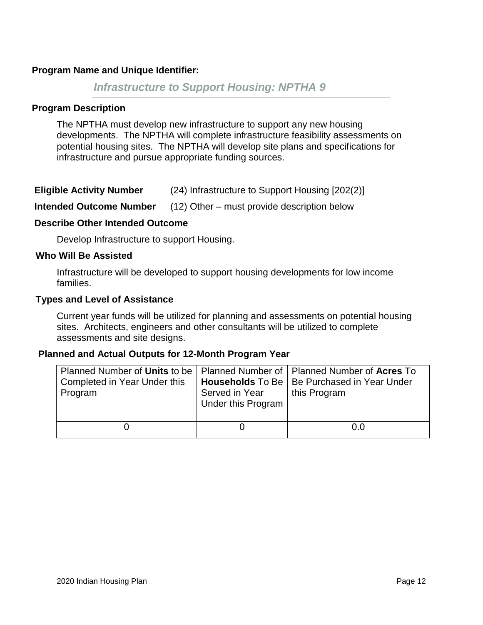# *Infrastructure to Support Housing: NPTHA 9*

### **Program Description**

The NPTHA must develop new infrastructure to support any new housing developments. The NPTHA will complete infrastructure feasibility assessments on potential housing sites. The NPTHA will develop site plans and specifications for infrastructure and pursue appropriate funding sources.

| <b>Eligible Activity Number</b> | (24) Infrastructure to Support Housing [202(2)] |
|---------------------------------|-------------------------------------------------|
|---------------------------------|-------------------------------------------------|

**Intended Outcome Number** (12) Other – must provide description below

#### **Describe Other Intended Outcome**

Develop Infrastructure to support Housing.

#### **Who Will Be Assisted**

Infrastructure will be developed to support housing developments for low income families.

#### **Types and Level of Assistance**

Current year funds will be utilized for planning and assessments on potential housing sites. Architects, engineers and other consultants will be utilized to complete assessments and site designs.

| Planned Number of Units to be   Planned Number of   Planned Number of Acres To<br>Completed in Year Under this<br>Program | Served in Year<br>Under this Program | <b>Households</b> To Be   Be Purchased in Year Under<br>this Program |
|---------------------------------------------------------------------------------------------------------------------------|--------------------------------------|----------------------------------------------------------------------|
|                                                                                                                           |                                      | 0.0                                                                  |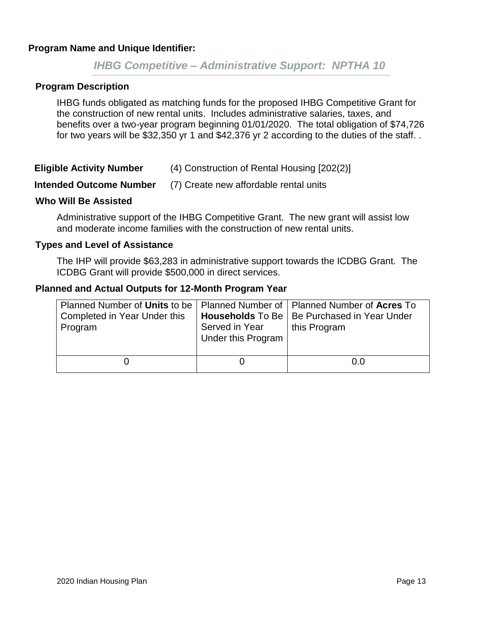# *IHBG Competitive – Administrative Support: NPTHA 10*

#### **Program Description**

IHBG funds obligated as matching funds for the proposed IHBG Competitive Grant for the construction of new rental units. Includes administrative salaries, taxes, and benefits over a two-year program beginning 01/01/2020. The total obligation of \$74,726 for two years will be \$32,350 yr 1 and \$42,376 yr 2 according to the duties of the staff. .

| <b>Eligible Activity Number</b> | (4) Construction of Rental Housing [202(2)] |
|---------------------------------|---------------------------------------------|
|---------------------------------|---------------------------------------------|

#### **Intended Outcome Number** (7) Create new affordable rental units

#### **Who Will Be Assisted**

Administrative support of the IHBG Competitive Grant. The new grant will assist low and moderate income families with the construction of new rental units.

#### **Types and Level of Assistance**

The IHP will provide \$63,283 in administrative support towards the ICDBG Grant. The ICDBG Grant will provide \$500,000 in direct services.

| Planned Number of Units to be   Planned Number of   Planned Number of Acres To<br>Completed in Year Under this<br>Program | Served in Year<br>Under this Program | Households To Be   Be Purchased in Year Under<br>this Program |
|---------------------------------------------------------------------------------------------------------------------------|--------------------------------------|---------------------------------------------------------------|
|                                                                                                                           |                                      | 0.0                                                           |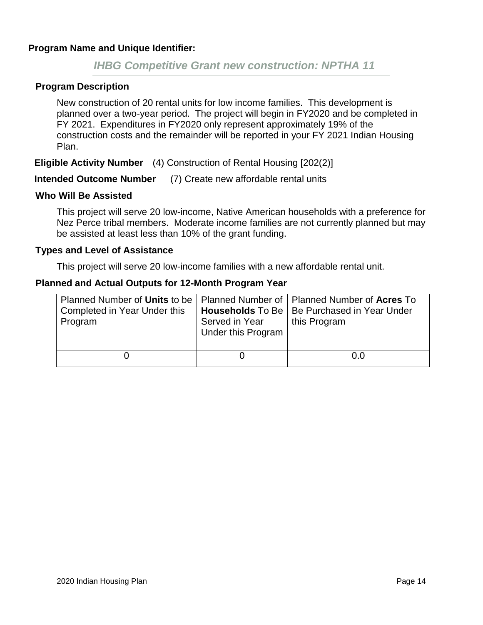# *IHBG Competitive Grant new construction: NPTHA 11*

#### **Program Description**

New construction of 20 rental units for low income families. This development is planned over a two-year period. The project will begin in FY2020 and be completed in FY 2021. Expenditures in FY2020 only represent approximately 19% of the construction costs and the remainder will be reported in your FY 2021 Indian Housing Plan.

**Eligible Activity Number** (4) Construction of Rental Housing [202(2)]

**Intended Outcome Number** (7) Create new affordable rental units

#### **Who Will Be Assisted**

This project will serve 20 low-income, Native American households with a preference for Nez Perce tribal members. Moderate income families are not currently planned but may be assisted at least less than 10% of the grant funding.

#### **Types and Level of Assistance**

This project will serve 20 low-income families with a new affordable rental unit.

| Planned Number of Units to be   Planned Number of   Planned Number of Acres To<br>Completed in Year Under this | Served in Year     | <b>Households</b> To Be   Be Purchased in Year Under<br>this Program |  |
|----------------------------------------------------------------------------------------------------------------|--------------------|----------------------------------------------------------------------|--|
| Program                                                                                                        | Under this Program |                                                                      |  |
|                                                                                                                |                    | O.O                                                                  |  |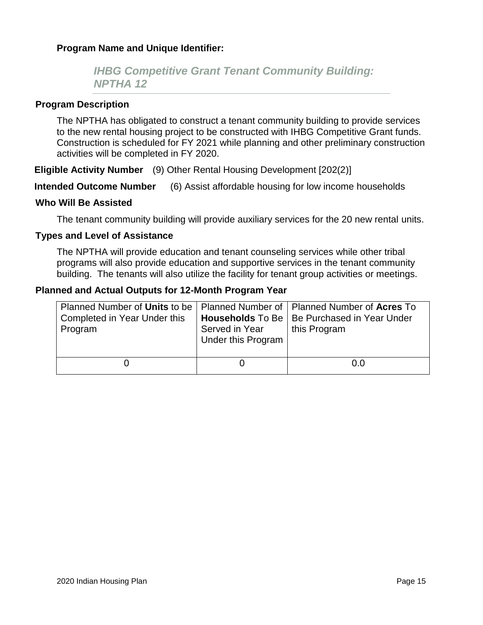# *IHBG Competitive Grant Tenant Community Building: NPTHA 12*

#### **Program Description**

The NPTHA has obligated to construct a tenant community building to provide services to the new rental housing project to be constructed with IHBG Competitive Grant funds. Construction is scheduled for FY 2021 while planning and other preliminary construction activities will be completed in FY 2020.

**Eligible Activity Number** (9) Other Rental Housing Development [202(2)]

**Intended Outcome Number** (6) Assist affordable housing for low income households

#### **Who Will Be Assisted**

The tenant community building will provide auxiliary services for the 20 new rental units.

#### **Types and Level of Assistance**

The NPTHA will provide education and tenant counseling services while other tribal programs will also provide education and supportive services in the tenant community building. The tenants will also utilize the facility for tenant group activities or meetings.

| Planned Number of Units to be   Planned Number of   Planned Number of Acres To<br>Completed in Year Under this<br>Program | Served in Year<br><b>Under this Program</b> | <b>Households</b> To Be   Be Purchased in Year Under<br>this Program |
|---------------------------------------------------------------------------------------------------------------------------|---------------------------------------------|----------------------------------------------------------------------|
|                                                                                                                           |                                             | 0.0                                                                  |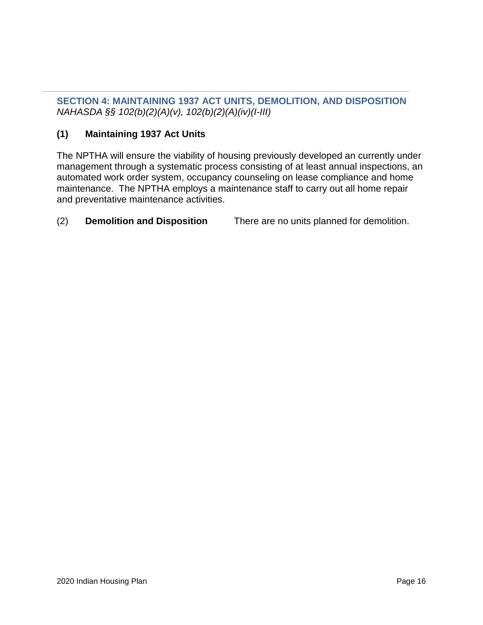**SECTION 4: MAINTAINING 1937 ACT UNITS, DEMOLITION, AND DISPOSITION** *NAHASDA §§ 102(b)(2)(A)(v), 102(b)(2)(A)(iv)(I-III)*

# **(1) Maintaining 1937 Act Units**

The NPTHA will ensure the viability of housing previously developed an currently under management through a systematic process consisting of at least annual inspections, an automated work order system, occupancy counseling on lease compliance and home maintenance. The NPTHA employs a maintenance staff to carry out all home repair and preventative maintenance activities.

# (2) **Demolition and Disposition** There are no units planned for demolition.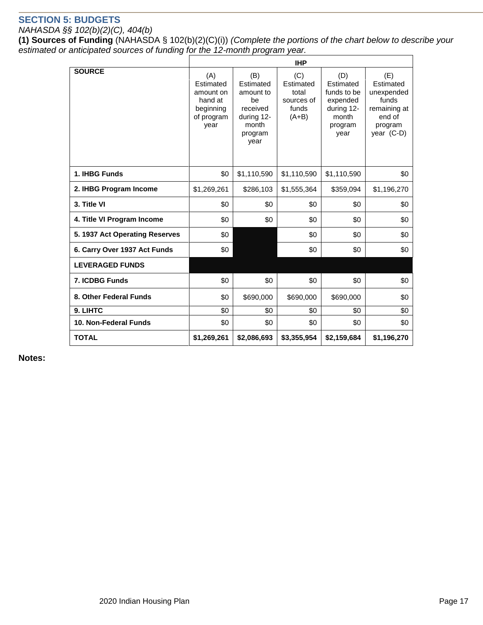# **SECTION 5: BUDGETS**

#### *NAHASDA §§ 102(b)(2)(C), 404(b)*

**(1) Sources of Funding** (NAHASDA § 102(b)(2)(C)(i)) *(Complete the portions of the chart below to describe your estimated or anticipated sources of funding for the 12-month program year.* 

|                                | <b>IHP</b>                                                                  |                                                                                           |                                                             |                                                                                       |                                                                                            |
|--------------------------------|-----------------------------------------------------------------------------|-------------------------------------------------------------------------------------------|-------------------------------------------------------------|---------------------------------------------------------------------------------------|--------------------------------------------------------------------------------------------|
| <b>SOURCE</b>                  | (A)<br>Estimated<br>amount on<br>hand at<br>beginning<br>of program<br>vear | (B)<br>Estimated<br>amount to<br>be<br>received<br>during 12-<br>month<br>program<br>year | (C)<br>Estimated<br>total<br>sources of<br>funds<br>$(A+B)$ | (D)<br>Estimated<br>funds to be<br>expended<br>during 12-<br>month<br>program<br>year | (E)<br>Estimated<br>unexpended<br>funds<br>remaining at<br>end of<br>program<br>year (C-D) |
| 1. IHBG Funds                  | \$0                                                                         | \$1,110,590                                                                               | \$1,110,590                                                 | \$1,110,590                                                                           | \$0                                                                                        |
| 2. IHBG Program Income         | \$1,269,261                                                                 | \$286,103                                                                                 | \$1,555,364                                                 | \$359,094                                                                             | \$1,196,270                                                                                |
| 3. Title VI                    | \$0                                                                         | \$0                                                                                       | \$0                                                         | \$0                                                                                   | \$0                                                                                        |
| 4. Title VI Program Income     | \$0                                                                         | \$0                                                                                       | \$0                                                         | \$0                                                                                   | \$0                                                                                        |
| 5. 1937 Act Operating Reserves | \$0                                                                         |                                                                                           | \$0                                                         | \$0                                                                                   | \$0                                                                                        |
| 6. Carry Over 1937 Act Funds   | \$0                                                                         |                                                                                           | \$0                                                         | \$0                                                                                   | \$0                                                                                        |
| <b>LEVERAGED FUNDS</b>         |                                                                             |                                                                                           |                                                             |                                                                                       |                                                                                            |
| 7. ICDBG Funds                 | \$0                                                                         | \$0                                                                                       | \$0                                                         | \$0                                                                                   | \$0                                                                                        |
| 8. Other Federal Funds         | \$0                                                                         | \$690,000                                                                                 | \$690,000                                                   | \$690,000                                                                             | \$0                                                                                        |
| 9. LIHTC                       | \$0                                                                         | \$0                                                                                       | \$0                                                         | \$0                                                                                   | \$0                                                                                        |
| 10. Non-Federal Funds          | \$0                                                                         | \$0                                                                                       | \$0                                                         | \$0                                                                                   | \$0                                                                                        |
| <b>TOTAL</b>                   | \$1,269,261                                                                 | \$2,086,693                                                                               | \$3,355,954                                                 | \$2,159,684                                                                           | \$1,196,270                                                                                |

**Notes:**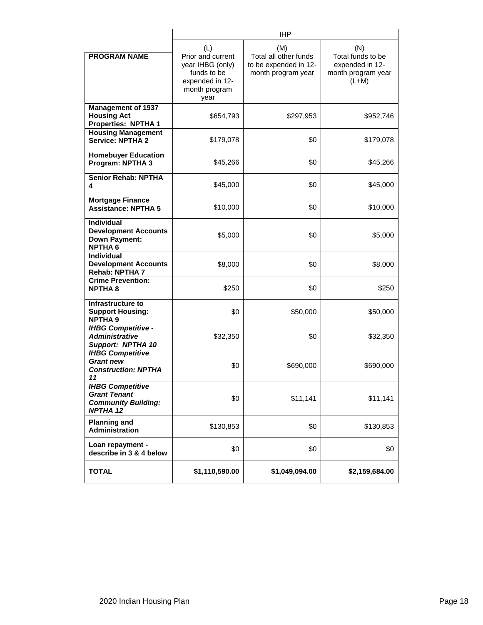|                                                                                           | <b>IHP</b>                                                                                              |                                                                             |                                                                              |  |
|-------------------------------------------------------------------------------------------|---------------------------------------------------------------------------------------------------------|-----------------------------------------------------------------------------|------------------------------------------------------------------------------|--|
| <b>PROGRAM NAME</b>                                                                       | (L)<br>Prior and current<br>year IHBG (only)<br>funds to be<br>expended in 12-<br>month program<br>year | (M)<br>Total all other funds<br>to be expended in 12-<br>month program year | (N)<br>Total funds to be<br>expended in 12-<br>month program year<br>$(L+M)$ |  |
| <b>Management of 1937</b><br><b>Housing Act</b><br><b>Properties: NPTHA 1</b>             | \$654,793                                                                                               | \$297,953                                                                   | \$952,746                                                                    |  |
| <b>Housing Management</b><br><b>Service: NPTHA 2</b>                                      | \$179,078                                                                                               | \$0                                                                         | \$179,078                                                                    |  |
| <b>Homebuyer Education</b><br>Program: NPTHA 3                                            | \$45,266                                                                                                | \$0                                                                         | \$45,266                                                                     |  |
| <b>Senior Rehab: NPTHA</b><br>4                                                           | \$45,000                                                                                                | \$0                                                                         | \$45,000                                                                     |  |
| <b>Mortgage Finance</b><br><b>Assistance: NPTHA 5</b>                                     | \$10,000                                                                                                | \$0                                                                         | \$10,000                                                                     |  |
| <b>Individual</b><br><b>Development Accounts</b><br><b>Down Payment:</b><br><b>NPTHA6</b> | \$5,000                                                                                                 | \$0                                                                         | \$5,000                                                                      |  |
| <b>Individual</b><br><b>Development Accounts</b><br>Rehab: NPTHA 7                        | \$8,000                                                                                                 | \$0                                                                         | \$8,000                                                                      |  |
| <b>Crime Prevention:</b><br><b>NPTHA 8</b>                                                | \$250                                                                                                   | \$0                                                                         | \$250                                                                        |  |
| Infrastructure to<br><b>Support Housing:</b><br><b>NPTHA 9</b>                            | \$0                                                                                                     | \$50,000                                                                    | \$50,000                                                                     |  |
| <b>IHBG Competitive -</b><br><b>Administrative</b><br>Support: NPTHA 10                   | \$32,350                                                                                                | \$0                                                                         | \$32,350                                                                     |  |
| <b>IHBG Competitive</b><br><b>Grant new</b><br><b>Construction: NPTHA</b><br>11           | \$0                                                                                                     | \$690,000                                                                   | \$690,000                                                                    |  |
| <b>IHBG Competitive</b><br><b>Grant Tenant</b><br><b>Community Building:</b><br>NPTHA 12  | \$0                                                                                                     | \$11,141                                                                    | \$11,141                                                                     |  |
| <b>Planning and</b><br><b>Administration</b>                                              | \$130,853                                                                                               | \$0                                                                         | \$130,853                                                                    |  |
| Loan repayment -<br>describe in 3 & 4 below                                               | \$0                                                                                                     | \$0                                                                         | \$0                                                                          |  |
| <b>TOTAL</b>                                                                              | \$1,110,590.00                                                                                          | \$1,049,094.00                                                              | \$2,159,684.00                                                               |  |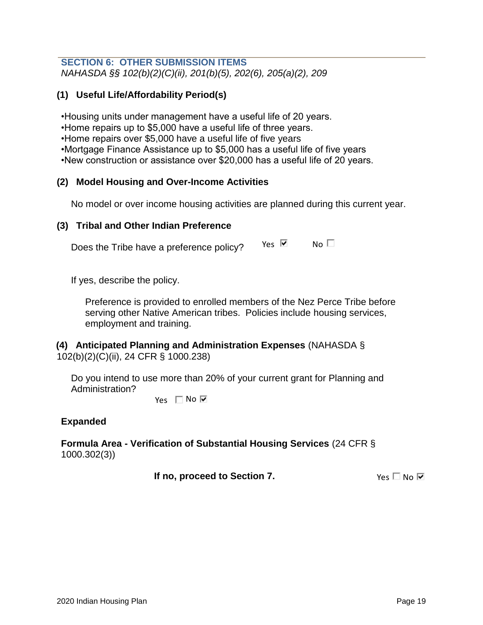### **SECTION 6: OTHER SUBMISSION ITEMS** *NAHASDA §§ 102(b)(2)(C)(ii), 201(b)(5), 202(6), 205(a)(2), 209*

# **(1) Useful Life/Affordability Period(s)**

•Housing units under management have a useful life of 20 years.

•Home repairs up to \$5,000 have a useful life of three years.

•Home repairs over \$5,000 have a useful life of five years

•Mortgage Finance Assistance up to \$5,000 has a useful life of five years

•New construction or assistance over \$20,000 has a useful life of 20 years.

# **(2) Model Housing and Over-Income Activities**

No model or over income housing activities are planned during this current year.

# **(3) Tribal and Other Indian Preference**

Does the Tribe have a preference policy?  $Yes \nvert \nabla$  No  $\Box$ 

If yes, describe the policy.

Preference is provided to enrolled members of the Nez Perce Tribe before serving other Native American tribes. Policies include housing services, employment and training.

# **(4) Anticipated Planning and Administration Expenses** (NAHASDA § 102(b)(2)(C)(ii), 24 CFR § 1000.238)

Do you intend to use more than 20% of your current grant for Planning and Administration?

Yes  $\Box$  No  $\overline{\triangledown}$ 

# **Expanded**

**Formula Area - Verification of Substantial Housing Services** (24 CFR § 1000.302(3))

 **If no, proceed to Section 7.**

Yes  $\square$  No  $\nabla$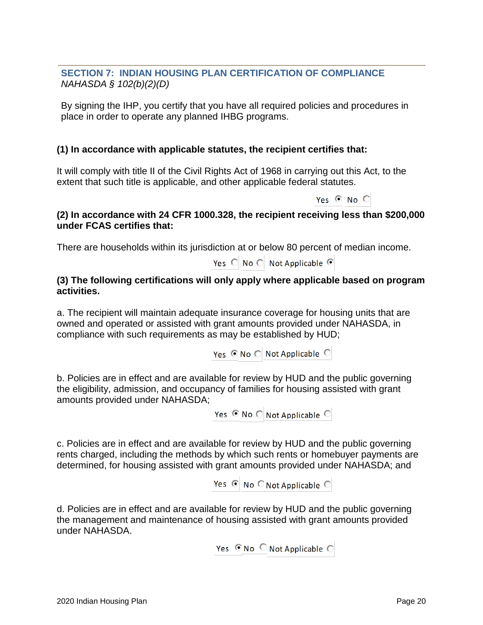# **SECTION 7: INDIAN HOUSING PLAN CERTIFICATION OF COMPLIANCE**  *NAHASDA § 102(b)(2)(D)*

By signing the IHP, you certify that you have all required policies and procedures in place in order to operate any planned IHBG programs.

# **(1) In accordance with applicable statutes, the recipient certifies that:**

It will comply with title II of the Civil Rights Act of 1968 in carrying out this Act, to the extent that such title is applicable, and other applicable federal statutes.

Yes  $\odot$  No  $\odot$ 

# **(2) In accordance with 24 CFR 1000.328, the recipient receiving less than \$200,000 under FCAS certifies that:**

There are households within its jurisdiction at or below 80 percent of median income.

Yes ◯ No ◯ Not Applicable **•** 

# **(3) The following certifications will only apply where applicable based on program activities.**

a. The recipient will maintain adequate insurance coverage for housing units that are owned and operated or assisted with grant amounts provided under NAHASDA, in compliance with such requirements as may be established by HUD;

Yes © No ○ Not Applicable ○

b. Policies are in effect and are available for review by HUD and the public governing the eligibility, admission, and occupancy of families for housing assisted with grant amounts provided under NAHASDA;

Yes ⊙ No ○ Not Applicable ○

c. Policies are in effect and are available for review by HUD and the public governing rents charged, including the methods by which such rents or homebuyer payments are determined, for housing assisted with grant amounts provided under NAHASDA; and

Yes ⊙ No ○ Not Applicable ○

d. Policies are in effect and are available for review by HUD and the public governing the management and maintenance of housing assisted with grant amounts provided under NAHASDA.

Yes  $\odot$  No  $\odot$  Not Applicable  $\odot$